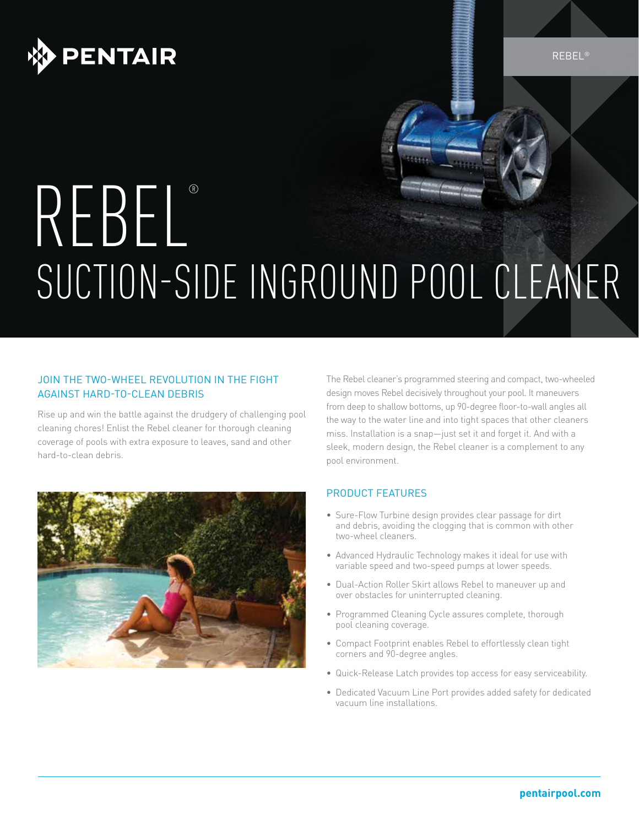

REBEL®

# REBEL® SUCTION-SIDE INGROUND POOL CLEANER

### JOIN THE TWO-WHEEL REVOLUTION IN THE FIGHT AGAINST HARD-TO-CLEAN DEBRIS

Rise up and win the battle against the drudgery of challenging pool cleaning chores! Enlist the Rebel cleaner for thorough cleaning coverage of pools with extra exposure to leaves, sand and other hard-to-clean debris.



The Rebel cleaner's programmed steering and compact, two-wheeled design moves Rebel decisively throughout your pool. It maneuvers from deep to shallow bottoms, up 90-degree floor-to-wall angles all the way to the water line and into tight spaces that other cleaners miss. Installation is a snap—just set it and forget it. And with a sleek, modern design, the Rebel cleaner is a complement to any pool environment.

### PRODUCT FEATURES

- Sure-Flow Turbine design provides clear passage for dirt and debris, avoiding the clogging that is common with other two-wheel cleaners.
- Advanced Hydraulic Technology makes it ideal for use with variable speed and two-speed pumps at lower speeds.
- Dual-Action Roller Skirt allows Rebel to maneuver up and over obstacles for uninterrupted cleaning.
- Programmed Cleaning Cycle assures complete, thorough pool cleaning coverage.
- Compact Footprint enables Rebel to effortlessly clean tight corners and 90-degree angles.
- Quick-Release Latch provides top access for easy serviceability.
- Dedicated Vacuum Line Port provides added safety for dedicated vacuum line installations.